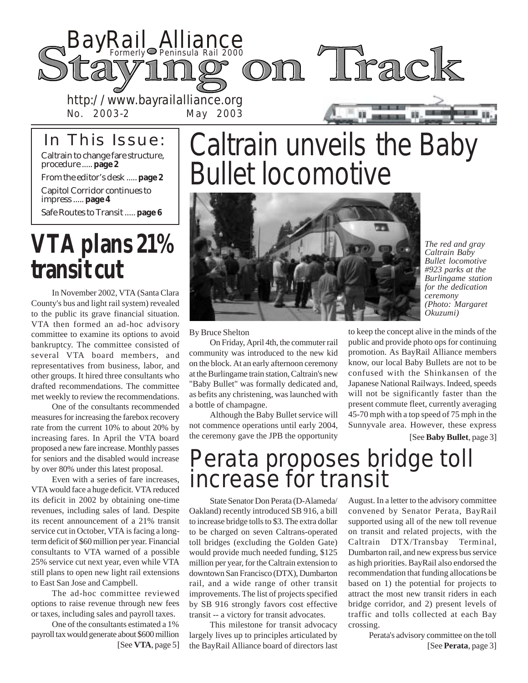

### In This Issue:

No. 2003-2 May 2003

Caltrain to change fare structure, procedure ..... **page 2**

From the editor's desk ..... **page 2**

Capitol Corridor continues to impress ..... **page 4**

Safe Routes to Transit ..... **page 6**

## **VTA plans 21% transit cut**

In November 2002, VTA (Santa Clara County's bus and light rail system) revealed to the public its grave financial situation. VTA then formed an ad-hoc advisory committee to examine its options to avoid bankruptcy. The committee consisted of several VTA board members, and representatives from business, labor, and other groups. It hired three consultants who drafted recommendations. The committee met weekly to review the recommendations.

One of the consultants recommended measures for increasing the farebox recovery rate from the current 10% to about 20% by increasing fares. In April the VTA board proposed a new fare increase. Monthly passes for seniors and the disabled would increase by over 80% under this latest proposal.

Even with a series of fare increases, VTA would face a huge deficit. VTA reduced its deficit in 2002 by obtaining one-time revenues, including sales of land. Despite its recent announcement of a 21% transit service cut in October, VTA is facing a longterm deficit of \$60 million per year. Financial consultants to VTA warned of a possible 25% service cut next year, even while VTA still plans to open new light rail extensions to East San Jose and Campbell.

The ad-hoc committee reviewed options to raise revenue through new fees or taxes, including sales and payroll taxes.

One of the consultants estimated a 1% payroll tax would generate about \$600 million

## Caltrain unveils the Baby Bullet locomotive



*The red and gray Caltrain Baby Bullet locomotive #923 parks at the Burlingame station for the dedication ceremony (Photo: Margaret Okuzumi)*

By Bruce Shelton

On Friday, April 4th, the commuter rail community was introduced to the new kid on the block. At an early afternoon ceremony at the Burlingame train station, Caltrain's new "Baby Bullet" was formally dedicated and, as befits any christening, was launched with a bottle of champagne.

Although the Baby Bullet service will not commence operations until early 2004, the ceremony gave the JPB the opportunity

to keep the concept alive in the minds of the public and provide photo ops for continuing promotion. As BayRail Alliance members know, our local Baby Bullets are not to be confused with the Shinkansen of the Japanese National Railways. Indeed, speeds will not be significantly faster than the present commute fleet, currently averaging 45-70 mph with a top speed of 75 mph in the Sunnyvale area. However, these express

[See **Baby Bullet**, page 3]

### Perata proposes bridge toll increase for transit

State Senator Don Perata (D-Alameda/ Oakland) recently introduced SB 916, a bill to increase bridge tolls to \$3. The extra dollar to be charged on seven Caltrans-operated toll bridges (excluding the Golden Gate) would provide much needed funding, \$125 million per year, for the Caltrain extension to downtown San Francisco (DTX), Dumbarton rail, and a wide range of other transit improvements. The list of projects specified by SB 916 strongly favors cost effective transit -- a victory for transit advocates.

[See VTA, page 5] the BayRail Alliance board of directors last [See **Perata**, page 3] This milestone for transit advocacy largely lives up to principles articulated by

August. In a letter to the advisory committee convened by Senator Perata, BayRail supported using all of the new toll revenue on transit and related projects, with the Caltrain DTX/Transbay Terminal, Dumbarton rail, and new express bus service as high priorities. BayRail also endorsed the recommendation that funding allocations be based on 1) the potential for projects to attract the most new transit riders in each bridge corridor, and 2) present levels of traffic and tolls collected at each Bay crossing.

Perata's advisory committee on the toll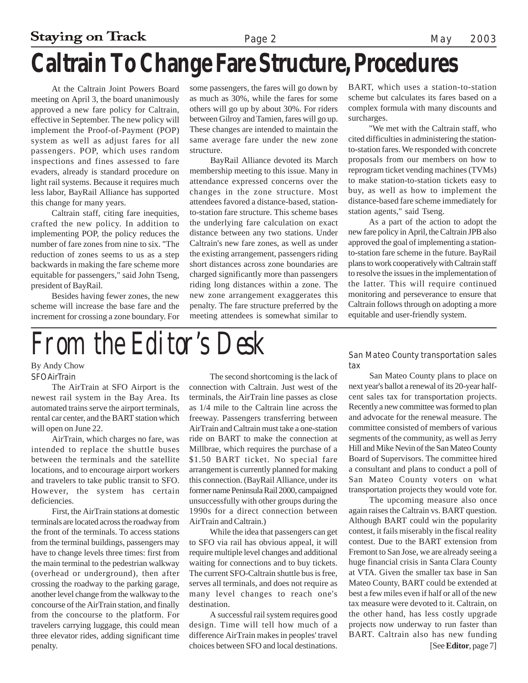### **Staying on Track** Page 2 May 2003 **Caltrain To Change Fare Structure, Procedures**

At the Caltrain Joint Powers Board meeting on April 3, the board unanimously approved a new fare policy for Caltrain, effective in September. The new policy will implement the Proof-of-Payment (POP) system as well as adjust fares for all passengers. POP, which uses random inspections and fines assessed to fare evaders, already is standard procedure on light rail systems. Because it requires much less labor, BayRail Alliance has supported this change for many years.

Caltrain staff, citing fare inequities, crafted the new policy. In addition to implementing POP, the policy reduces the number of fare zones from nine to six. "The reduction of zones seems to us as a step backwards in making the fare scheme more equitable for passengers," said John Tseng, president of BayRail.

Besides having fewer zones, the new scheme will increase the base fare and the increment for crossing a zone boundary. For some passengers, the fares will go down by as much as 30%, while the fares for some others will go up by about 30%. For riders between Gilroy and Tamien, fares will go up. These changes are intended to maintain the same average fare under the new zone structure.

BayRail Alliance devoted its March membership meeting to this issue. Many in attendance expressed concerns over the changes in the zone structure. Most attendees favored a distance-based, stationto-station fare structure. This scheme bases the underlying fare calculation on exact distance between any two stations. Under Caltrain's new fare zones, as well as under the existing arrangement, passengers riding short distances across zone boundaries are charged significantly more than passengers riding long distances within a zone. The new zone arrangement exaggerates this penalty. The fare structure preferred by the meeting attendees is somewhat similar to

BART, which uses a station-to-station scheme but calculates its fares based on a complex formula with many discounts and surcharges.

"We met with the Caltrain staff, who cited difficulties in administering the stationto-station fares. We responded with concrete proposals from our members on how to reprogram ticket vending machines (TVMs) to make station-to-station tickets easy to buy, as well as how to implement the distance-based fare scheme immediately for station agents," said Tseng.

As a part of the action to adopt the new fare policy in April, the Caltrain JPB also approved the goal of implementing a stationto-station fare scheme in the future. BayRail plans to work cooperatively with Caltrain staff to resolve the issues in the implementation of the latter. This will require continued monitoring and perseverance to ensure that Caltrain follows through on adopting a more equitable and user-friendly system.

# *From the Editor's Desk*

SFO AirTrain By Andy Chow

The AirTrain at SFO Airport is the newest rail system in the Bay Area. Its automated trains serve the airport terminals, rental car center, and the BART station which will open on June 22.

AirTrain, which charges no fare, was intended to replace the shuttle buses between the terminals and the satellite locations, and to encourage airport workers and travelers to take public transit to SFO. However, the system has certain deficiencies.

First, the AirTrain stations at domestic terminals are located across the roadway from the front of the terminals. To access stations from the terminal buildings, passengers may have to change levels three times: first from the main terminal to the pedestrian walkway (overhead or underground), then after crossing the roadway to the parking garage, another level change from the walkway to the concourse of the AirTrain station, and finally from the concourse to the platform. For travelers carrying luggage, this could mean three elevator rides, adding significant time penalty.

The second shortcoming is the lack of connection with Caltrain. Just west of the terminals, the AirTrain line passes as close as 1/4 mile to the Caltrain line across the freeway. Passengers transferring between AirTrain and Caltrain must take a one-station ride on BART to make the connection at Millbrae, which requires the purchase of a \$1.50 BART ticket. No special fare arrangement is currently planned for making this connection. (BayRail Alliance, under its former name Peninsula Rail 2000, campaigned unsuccessfully with other groups during the 1990s for a direct connection between AirTrain and Caltrain.)

While the idea that passengers can get to SFO via rail has obvious appeal, it will require multiple level changes and additional waiting for connections and to buy tickets. The current SFO-Caltrain shuttle bus is free, serves all terminals, and does not require as many level changes to reach one's destination.

A successful rail system requires good design. Time will tell how much of a difference AirTrain makes in peoples' travel choices between SFO and local destinations.

San Mateo County transportation sales tax

San Mateo County plans to place on next year's ballot a renewal of its 20-year halfcent sales tax for transportation projects. Recently a new committee was formed to plan and advocate for the renewal measure. The committee consisted of members of various segments of the community, as well as Jerry Hill and Mike Nevin of the San Mateo County Board of Supervisors. The committee hired a consultant and plans to conduct a poll of San Mateo County voters on what transportation projects they would vote for.

The upcoming measure also once again raises the Caltrain vs. BART question. Although BART could win the popularity contest, it fails miserably in the fiscal reality contest. Due to the BART extension from Fremont to San Jose, we are already seeing a huge financial crisis in Santa Clara County at VTA. Given the smaller tax base in San Mateo County, BART could be extended at best a few miles even if half or all of the new tax measure were devoted to it. Caltrain, on the other hand, has less costly upgrade projects now underway to run faster than BART. Caltrain also has new funding [See **Editor**, page 7]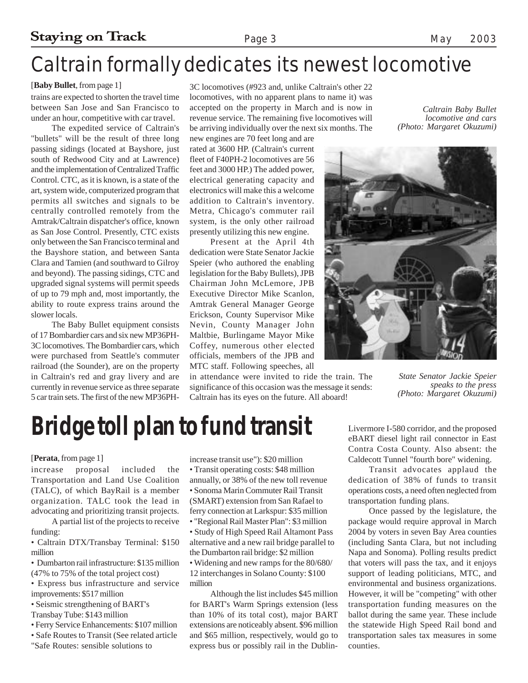### Caltrain formally dedicates its newest locomotive

### [**Baby Bullet**, from page 1]

trains are expected to shorten the travel time between San Jose and San Francisco to under an hour, competitive with car travel.

The expedited service of Caltrain's "bullets" will be the result of three long passing sidings (located at Bayshore, just south of Redwood City and at Lawrence) and the implementation of Centralized Traffic Control. CTC, as it is known, is a state of the art, system wide, computerized program that permits all switches and signals to be centrally controlled remotely from the Amtrak/Caltrain dispatcher's office, known as San Jose Control. Presently, CTC exists only between the San Francisco terminal and the Bayshore station, and between Santa Clara and Tamien (and southward to Gilroy and beyond). The passing sidings, CTC and upgraded signal systems will permit speeds of up to 79 mph and, most importantly, the ability to route express trains around the slower locals.

The Baby Bullet equipment consists of 17 Bombardier cars and six new MP36PH-3C locomotives. The Bombardier cars, which were purchased from Seattle's commuter railroad (the Sounder), are on the property in Caltrain's red and gray livery and are currently in revenue service as three separate 5 car train sets. The first of the new MP36PH-

3C locomotives (#923 and, unlike Caltrain's other 22 locomotives, with no apparent plans to name it) was accepted on the property in March and is now in revenue service. The remaining five locomotives will be arriving individually over the next six months. The

new engines are 70 feet long and are rated at 3600 HP. (Caltrain's current fleet of F40PH-2 locomotives are 56 feet and 3000 HP.) The added power, electrical generating capacity and electronics will make this a welcome addition to Caltrain's inventory. Metra, Chicago's commuter rail system, is the only other railroad presently utilizing this new engine.

Present at the April 4th dedication were State Senator Jackie Speier (who authored the enabling legislation for the Baby Bullets), JPB Chairman John McLemore, JPB Executive Director Mike Scanlon, Amtrak General Manager George Erickson, County Supervisor Mike Nevin, County Manager John Maltbie, Burlingame Mayor Mike Coffey, numerous other elected officials, members of the JPB and MTC staff. Following speeches, all

in attendance were invited to ride the train. The significance of this occasion was the message it sends: Caltrain has its eyes on the future. All aboard!

*Caltrain Baby Bullet locomotive and cars (Photo: Margaret Okuzumi)*



*State Senator Jackie Speier speaks to the press (Photo: Margaret Okuzumi)*

## **Bridge toll plan to fund transit**

#### [**Perata**, from page 1]

increase proposal included the Transportation and Land Use Coalition (TALC), of which BayRail is a member organization. TALC took the lead in advocating and prioritizing transit projects.

A partial list of the projects to receive funding:

• Caltrain DTX/Transbay Terminal: \$150 million

• Dumbarton rail infrastructure: \$135 million (47% to 75% of the total project cost)

• Express bus infrastructure and service improvements: \$517 million

- Seismic strengthening of BART's
- Transbay Tube: \$143 million
- Ferry Service Enhancements: \$107 million
- Safe Routes to Transit (See related article
- "Safe Routes: sensible solutions to

increase transit use"): \$20 million • Transit operating costs: \$48 million

- annually, or 38% of the new toll revenue • Sonoma Marin Commuter Rail Transit (SMART) extension from San Rafael to
- ferry connection at Larkspur: \$35 million
- "Regional Rail Master Plan": \$3 million • Study of High Speed Rail Altamont Pass alternative and a new rail bridge parallel to the Dumbarton rail bridge: \$2 million
- Widening and new ramps for the 80/680/ 12 interchanges in Solano County: \$100 million

Although the list includes \$45 million for BART's Warm Springs extension (less than 10% of its total cost), major BART extensions are noticeably absent. \$96 million and \$65 million, respectively, would go to express bus or possibly rail in the DublinLivermore I-580 corridor, and the proposed eBART diesel light rail connector in East Contra Costa County. Also absent: the Caldecott Tunnel "fourth bore" widening.

Transit advocates applaud the dedication of 38% of funds to transit operations costs, a need often neglected from transportation funding plans.

Once passed by the legislature, the package would require approval in March 2004 by voters in seven Bay Area counties (including Santa Clara, but not including Napa and Sonoma). Polling results predict that voters will pass the tax, and it enjoys support of leading politicians, MTC, and environmental and business organizations. However, it will be "competing" with other transportation funding measures on the ballot during the same year. These include the statewide High Speed Rail bond and transportation sales tax measures in some counties.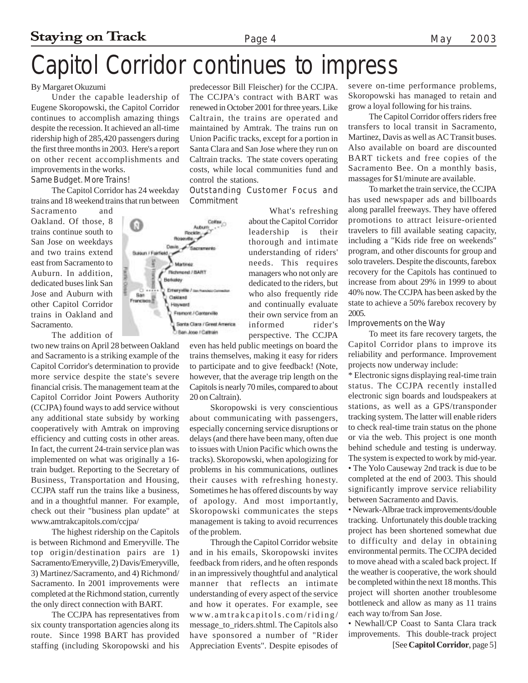## Capitol Corridor continues to impress

#### By Margaret Okuzumi

Under the capable leadership of Eugene Skoropowski, the Capitol Corridor continues to accomplish amazing things despite the recession. It achieved an all-time ridership high of 285,420 passengers during the first three months in 2003. Here's a report on other recent accomplishments and improvements in the works. Same Budget. More Trains!

The Capitol Corridor has 24 weekday trains and 18 weekend trains that run between

Sacramento and Oakland. Of those, 8 trains continue south to San Jose on weekdays and two trains extend east from Sacramento to Auburn. In addition, dedicated buses link San Jose and Auburn with other Capitol Corridor trains in Oakland and Sacramento.

The addition of

two new trains on April 28 between Oakland and Sacramento is a striking example of the Capitol Corridor's determination to provide more service despite the state's severe financial crisis. The management team at the Capitol Corridor Joint Powers Authority (CCJPA) found ways to add service without any additional state subsidy by working cooperatively with Amtrak on improving efficiency and cutting costs in other areas. In fact, the current 24-train service plan was implemented on what was originally a 16 train budget. Reporting to the Secretary of Business, Transportation and Housing, CCJPA staff run the trains like a business, and in a thoughtful manner. For example, check out their "business plan update" at www.amtrakcapitols.com/ccjpa/

The highest ridership on the Capitols is between Richmond and Emeryville. The top origin/destination pairs are 1) Sacramento/Emeryville, 2) Davis/Emeryville, 3) Martinez/Sacramento, and 4) Richmond/ Sacramento. In 2001 improvements were completed at the Richmond station, currently the only direct connection with BART.

The CCJPA has representatives from six county transportation agencies along its route. Since 1998 BART has provided staffing (including Skoropowski and his

predecessor Bill Fleischer) for the CCJPA. The CCJPA's contract with BART was renewed in October 2001 for three years. Like Caltrain, the trains are operated and maintained by Amtrak. The trains run on Union Pacific tracks, except for a portion in Santa Clara and San Jose where they run on Caltrain tracks. The state covers operating costs, while local communities fund and control the stations.

Outstanding Customer Focus and Commitment

> What's refreshing about the Capitol Corridor leadership is their thorough and intimate understanding of riders' needs. This requires managers who not only are dedicated to the riders, but who also frequently ride and continually evaluate their own service from an informed rider's perspective. The CCJPA

even has held public meetings on board the trains themselves, making it easy for riders to participate and to give feedback! (Note, however, that the average trip length on the Capitols is nearly 70 miles, compared to about 20 on Caltrain).

Skoropowski is very conscientious about communicating with passengers, especially concerning service disruptions or delays (and there have been many, often due to issues with Union Pacific which owns the tracks). Skoropowski, when apologizing for problems in his communications, outlines their causes with refreshing honesty. Sometimes he has offered discounts by way of apology. And most importantly, Skoropowski communicates the steps management is taking to avoid recurrences of the problem.

Through the Capitol Corridor website and in his emails, Skoropowski invites feedback from riders, and he often responds in an impressively thoughtful and analytical manner that reflects an intimate understanding of every aspect of the service and how it operates. For example, see www.amtrakcapitols.com/riding/ message\_to\_riders.shtml. The Capitols also have sponsored a number of "Rider Appreciation Events". Despite episodes of severe on-time performance problems, Skoropowski has managed to retain and grow a loyal following for his trains.

The Capitol Corridor offers riders free transfers to local transit in Sacramento, Martinez, Davis as well as AC Transit buses. Also available on board are discounted BART tickets and free copies of the Sacramento Bee. On a monthly basis, massages for \$1/minute are available.

To market the train service, the CCJPA has used newspaper ads and billboards along parallel freeways. They have offered promotions to attract leisure-oriented travelers to fill available seating capacity, including a "Kids ride free on weekends" program, and other discounts for group and solo travelers. Despite the discounts, farebox recovery for the Capitols has continued to increase from about 29% in 1999 to about 40% now. The CCJPA has been asked by the state to achieve a 50% farebox recovery by 2005.

#### Improvements on the Way

To meet its fare recovery targets, the Capitol Corridor plans to improve its reliability and performance. Improvement projects now underway include:

\* Electronic signs displaying real-time train status. The CCJPA recently installed electronic sign boards and loudspeakers at stations, as well as a GPS/transponder tracking system. The latter will enable riders to check real-time train status on the phone or via the web. This project is one month behind schedule and testing is underway. The system is expected to work by mid-year. • The Yolo Causeway 2nd track is due to be completed at the end of 2003. This should significantly improve service reliability between Sacramento and Davis.

• Newark-Albrae track improvements/double tracking. Unfortunately this double tracking project has been shortened somewhat due to difficulty and delay in obtaining environmental permits. The CCJPA decided to move ahead with a scaled back project. If the weather is cooperative, the work should be completed within the next 18 months. This project will shorten another troublesome bottleneck and allow as many as 11 trains each way to/from San Jose.

• Newhall/CP Coast to Santa Clara track improvements. This double-track project [See **Capitol Corridor**, page 5]

Coltas Ω Autumn Pockin... **Bosevite** Davi Susun / Fairfield Martinez Richmond / BART Berkeley Emeryville / survi **Ban** Cakland  $r_{\text{rarration}}$ Hayward Framont / Canterville Santa Clara / Great America Sen Jose / Caltrain

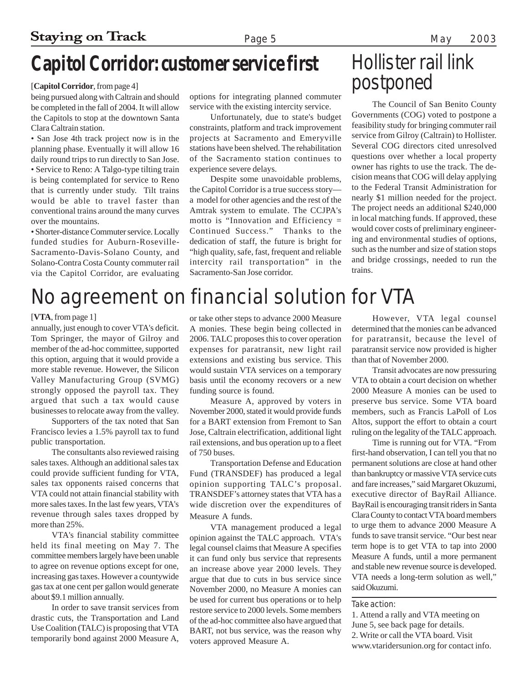### **Capitol Corridor: customer service first**

#### [**Capitol Corridor**, from page 4]

being pursued along with Caltrain and should be completed in the fall of 2004. It will allow the Capitols to stop at the downtown Santa Clara Caltrain station.

• San Jose 4th track project now is in the planning phase. Eventually it will allow 16 daily round trips to run directly to San Jose. • Service to Reno: A Talgo-type tilting train is being contemplated for service to Reno that is currently under study. Tilt trains would be able to travel faster than conventional trains around the many curves over the mountains.

• Shorter-distance Commuter service. Locally funded studies for Auburn-Roseville-Sacramento-Davis-Solano County, and Solano-Contra Costa County commuter rail via the Capitol Corridor, are evaluating

options for integrating planned commuter service with the existing intercity service.

Unfortunately, due to state's budget constraints, platform and track improvement projects at Sacramento and Emeryville stations have been shelved. The rehabilitation of the Sacramento station continues to experience severe delays.

Despite some unavoidable problems, the Capitol Corridor is a true success story a model for other agencies and the rest of the Amtrak system to emulate. The CCJPA's motto is "Innovation and Efficiency = Continued Success." Thanks to the dedication of staff, the future is bright for "high quality, safe, fast, frequent and reliable intercity rail transportation" in the Sacramento-San Jose corridor.

### Hollister rail link postponed

The Council of San Benito County Governments (COG) voted to postpone a feasibility study for bringing commuter rail service from Gilroy (Caltrain) to Hollister. Several COG directors cited unresolved questions over whether a local property owner has rights to use the track. The decision means that COG will delay applying to the Federal Transit Administration for nearly \$1 million needed for the project. The project needs an additional \$240,000 in local matching funds. If approved, these would cover costs of preliminary engineering and environmental studies of options, such as the number and size of station stops and bridge crossings, needed to run the trains.

### No agreement on financial solution for VTA

#### [**VTA**, from page 1]

annually, just enough to cover VTA's deficit. Tom Springer, the mayor of Gilroy and member of the ad-hoc committee, supported this option, arguing that it would provide a more stable revenue. However, the Silicon Valley Manufacturing Group (SVMG) strongly opposed the payroll tax. They argued that such a tax would cause businesses to relocate away from the valley.

Supporters of the tax noted that San Francisco levies a 1.5% payroll tax to fund public transportation.

The consultants also reviewed raising sales taxes. Although an additional sales tax could provide sufficient funding for VTA, sales tax opponents raised concerns that VTA could not attain financial stability with more sales taxes. In the last few years, VTA's revenue through sales taxes dropped by more than 25%.

VTA's financial stability committee held its final meeting on May 7. The committee members largely have been unable to agree on revenue options except for one, increasing gas taxes. However a countywide gas tax at one cent per gallon would generate about \$9.1 million annually.

In order to save transit services from drastic cuts, the Transportation and Land Use Coalition (TALC) is proposing that VTA temporarily bond against 2000 Measure A, or take other steps to advance 2000 Measure A monies. These begin being collected in 2006. TALC proposes this to cover operation expenses for paratransit, new light rail extensions and existing bus service. This would sustain VTA services on a temporary basis until the economy recovers or a new funding source is found.

Measure A, approved by voters in November 2000, stated it would provide funds for a BART extension from Fremont to San Jose, Caltrain electrification, additional light rail extensions, and bus operation up to a fleet of 750 buses.

Transportation Defense and Education Fund (TRANSDEF) has produced a legal opinion supporting TALC's proposal. TRANSDEF's attorney states that VTA has a wide discretion over the expenditures of Measure A funds.

VTA management produced a legal opinion against the TALC approach. VTA's legal counsel claims that Measure A specifies it can fund only bus service that represents an increase above year 2000 levels. They argue that due to cuts in bus service since November 2000, no Measure A monies can be used for current bus operations or to help restore service to 2000 levels. Some members of the ad-hoc committee also have argued that BART, not bus service, was the reason why voters approved Measure A.

However, VTA legal counsel determined that the monies can be advanced for paratransit, because the level of paratransit service now provided is higher than that of November 2000.

Transit advocates are now pressuring VTA to obtain a court decision on whether 2000 Measure A monies can be used to preserve bus service. Some VTA board members, such as Francis LaPoll of Los Altos, support the effort to obtain a court ruling on the legality of the TALC approach.

Time is running out for VTA. "From first-hand observation, I can tell you that no permanent solutions are close at hand other than bankruptcy or massive VTA service cuts and fare increases," said Margaret Okuzumi, executive director of BayRail Alliance. BayRail is encouraging transit riders in Santa Clara County to contact VTA board members to urge them to advance 2000 Measure A funds to save transit service. "Our best near term hope is to get VTA to tap into 2000 Measure A funds, until a more permanent and stable new revenue source is developed. VTA needs a long-term solution as well," said Okuzumi.

#### Take action:

1. Attend a rally and VTA meeting on June 5, see back page for details. 2. Write or call the VTA board. Visit www.vtaridersunion.org for contact info.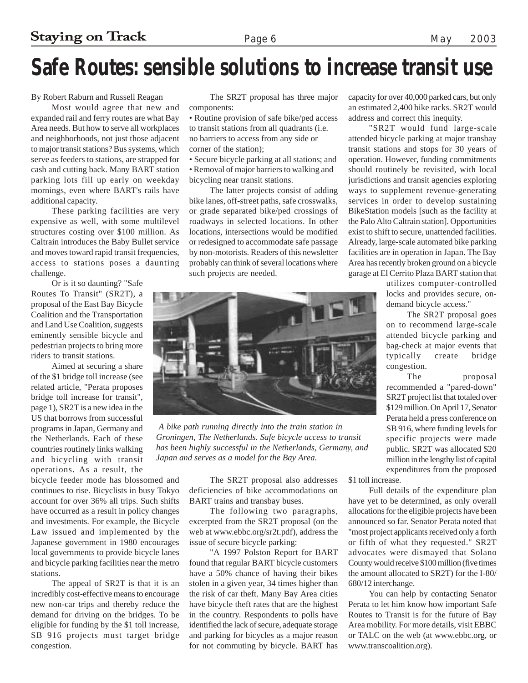### **Safe Routes: sensible solutions to increase transit use**

By Robert Raburn and Russell Reagan

Most would agree that new and expanded rail and ferry routes are what Bay Area needs. But how to serve all workplaces and neighborhoods, not just those adjacent to major transit stations? Bus systems, which serve as feeders to stations, are strapped for cash and cutting back. Many BART station parking lots fill up early on weekday mornings, even where BART's rails have additional capacity.

These parking facilities are very expensive as well, with some multilevel structures costing over \$100 million. As Caltrain introduces the Baby Bullet service and moves toward rapid transit frequencies, access to stations poses a daunting challenge.

Or is it so daunting? "Safe Routes To Transit" (SR2T), a proposal of the East Bay Bicycle Coalition and the Transportation and Land Use Coalition, suggests eminently sensible bicycle and pedestrian projects to bring more riders to transit stations.

Aimed at securing a share of the \$1 bridge toll increase (see related article, "Perata proposes bridge toll increase for transit", page 1), SR2T is a new idea in the US that borrows from successful programs in Japan, Germany and the Netherlands. Each of these countries routinely links walking and bicycling with transit operations. As a result, the

bicycle feeder mode has blossomed and continues to rise. Bicyclists in busy Tokyo account for over 36% all trips. Such shifts have occurred as a result in policy changes and investments. For example, the Bicycle Law issued and implemented by the Japanese government in 1980 encourages local governments to provide bicycle lanes and bicycle parking facilities near the metro stations.

The appeal of SR2T is that it is an incredibly cost-effective means to encourage new non-car trips and thereby reduce the demand for driving on the bridges. To be eligible for funding by the \$1 toll increase, SB 916 projects must target bridge congestion.

The SR2T proposal has three major components:

• Routine provision of safe bike/ped access to transit stations from all quadrants (i.e. no barriers to access from any side or corner of the station);

• Secure bicycle parking at all stations; and • Removal of major barriers to walking and bicycling near transit stations.

The latter projects consist of adding bike lanes, off-street paths, safe crosswalks, or grade separated bike/ped crossings of roadways in selected locations. In other locations, intersections would be modified or redesigned to accommodate safe passage by non-motorists. Readers of this newsletter probably can think of several locations where such projects are needed.

capacity for over 40,000 parked cars, but only an estimated 2,400 bike racks. SR2T would address and correct this inequity.

"SR2T would fund large-scale attended bicycle parking at major transbay transit stations and stops for 30 years of operation. However, funding commitments should routinely be revisited, with local jurisdictions and transit agencies exploring ways to supplement revenue-generating services in order to develop sustaining BikeStation models [such as the facility at the Palo Alto Caltrain station]. Opportunities exist to shift to secure, unattended facilities. Already, large-scale automated bike parking facilities are in operation in Japan. The Bay Area has recently broken ground on a bicycle garage at El Cerrito Plaza BART station that

> utilizes computer-controlled locks and provides secure, ondemand bicycle access."

> The SR2T proposal goes on to recommend large-scale attended bicycle parking and bag-check at major events that typically create bridge congestion.

> The proposal recommended a "pared-down" SR2T project list that totaled over \$129 million. On April 17, Senator Perata held a press conference on SB 916, where funding levels for specific projects were made public. SR2T was allocated \$20 million in the lengthy list of capital expenditures from the proposed

 *A bike path running directly into the train station in Groningen, The Netherlands. Safe bicycle access to transit has been highly successful in the Netherlands, Germany, and*

> The SR2T proposal also addresses deficiencies of bike accommodations on BART trains and transbay buses.

*Japan and serves as a model for the Bay Area.*

The following two paragraphs, excerpted from the SR2T proposal (on the web at www.ebbc.org/sr2t.pdf), address the issue of secure bicycle parking:

"A 1997 Polston Report for BART found that regular BART bicycle customers have a 50% chance of having their bikes stolen in a given year, 34 times higher than the risk of car theft. Many Bay Area cities have bicycle theft rates that are the highest in the country. Respondents to polls have identified the lack of secure, adequate storage and parking for bicycles as a major reason for not commuting by bicycle. BART has \$1 toll increase.

Full details of the expenditure plan have yet to be determined, as only overall allocations for the eligible projects have been announced so far. Senator Perata noted that "most project applicants received only a forth or fifth of what they requested." SR2T advocates were dismayed that Solano County would receive \$100 million (five times the amount allocated to SR2T) for the I-80/ 680/12 interchange.

You can help by contacting Senator Perata to let him know how important Safe Routes to Transit is for the future of Bay Area mobility. For more details, visit EBBC or TALC on the web (at www.ebbc.org, or www.transcoalition.org).

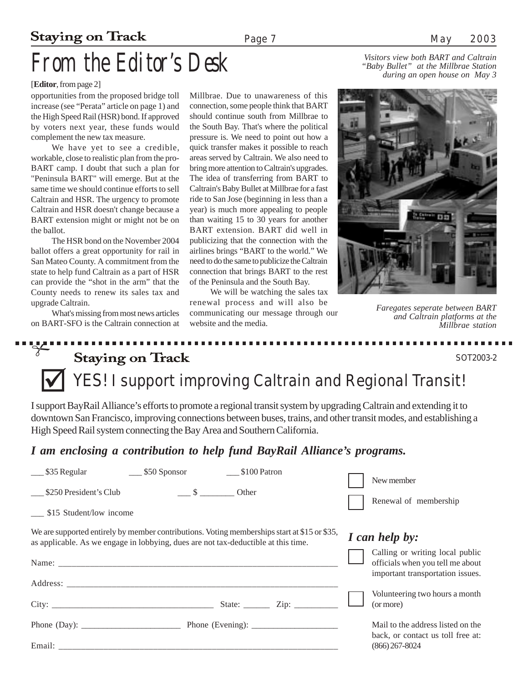### **Staying on Track**

## **From the Editor's Desk**

### [**Editor**, from page 2]

opportunities from the proposed bridge toll increase (see "Perata" article on page 1) and the High Speed Rail (HSR) bond. If approved by voters next year, these funds would complement the new tax measure.

We have yet to see a credible, workable, close to realistic plan from the pro-BART camp. I doubt that such a plan for "Peninsula BART" will emerge. But at the same time we should continue efforts to sell Caltrain and HSR. The urgency to promote Caltrain and HSR doesn't change because a BART extension might or might not be on the ballot.

The HSR bond on the November 2004 ballot offers a great opportunity for rail in San Mateo County. A commitment from the state to help fund Caltrain as a part of HSR can provide the "shot in the arm" that the County needs to renew its sales tax and upgrade Caltrain.

What's missing from most news articles on BART-SFO is the Caltrain connection at

Millbrae. Due to unawareness of this connection, some people think that BART should continue south from Millbrae to the South Bay. That's where the political pressure is. We need to point out how a quick transfer makes it possible to reach areas served by Caltrain. We also need to bring more attention to Caltrain's upgrades. The idea of transferring from BART to Caltrain's Baby Bullet at Millbrae for a fast ride to San Jose (beginning in less than a year) is much more appealing to people than waiting 15 to 30 years for another BART extension. BART did well in publicizing that the connection with the airlines brings "BART to the world." We need to do the same to publicize the Caltrain connection that brings BART to the rest of the Peninsula and the South Bay.

We will be watching the sales tax renewal process and will also be communicating our message through our website and the media.

*Visitors view both BART and Caltrain during an open house on May 3*



*Faregates seperate between BART and Caltrain platforms at the Millbrae station*

### .<br>יי*י*ש **Staying on Track**

" *YES! I support improving Caltrain and Regional Transit!*

I support BayRail Alliance's efforts to promote a regional transit system by upgrading Caltrain and extending it to downtown San Francisco, improving connections between buses, trains, and other transit modes, and establishing a High Speed Rail system connecting the Bay Area and Southern California.

### *I am enclosing a contribution to help fund BayRail Alliance's programs.*

| $\_\_\$ \$35 Regular                                                                                                                                                               | $\frac{\$50}{\$50}$ Sponsor         | \$100 Patron |  |                                                                                                         |
|------------------------------------------------------------------------------------------------------------------------------------------------------------------------------------|-------------------------------------|--------------|--|---------------------------------------------------------------------------------------------------------|
| \$250 President's Club                                                                                                                                                             | $\frac{\ }{2}$ $\frac{\ }{2}$ Other |              |  | New member<br>Renewal of membership                                                                     |
| \$15 Student/low income                                                                                                                                                            |                                     |              |  |                                                                                                         |
| We are supported entirely by member contributions. Voting memberships start at \$15 or \$35,<br>as applicable. As we engage in lobbying, dues are not tax-deductible at this time. | I can help by:                      |              |  |                                                                                                         |
|                                                                                                                                                                                    |                                     |              |  | Calling or writing local public<br>officials when you tell me about<br>important transportation issues. |
|                                                                                                                                                                                    |                                     |              |  |                                                                                                         |
|                                                                                                                                                                                    |                                     |              |  | Volunteering two hours a month<br>(or more)                                                             |
| Phone (Day): $\qquad \qquad$ Phone (Evening): $\qquad \qquad$                                                                                                                      |                                     |              |  | Mail to the address listed on the<br>back, or contact us toll free at:                                  |
|                                                                                                                                                                                    |                                     |              |  | $(866)$ 267-8024                                                                                        |

**B B B B**